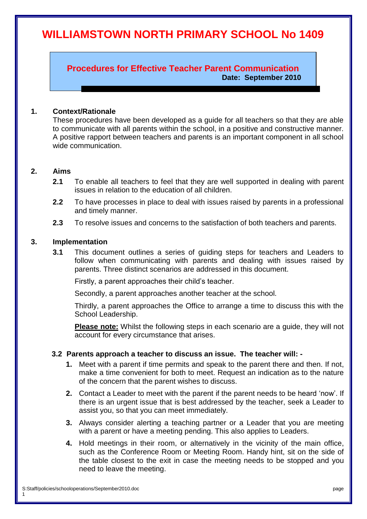# **WILLIAMSTOWN NORTH PRIMARY SCHOOL No 1409**

**Procedures for Effective Teacher Parent Communication Date: September 2010**

## **1. Context/Rationale**

These procedures have been developed as a guide for all teachers so that they are able to communicate with all parents within the school, in a positive and constructive manner. A positive rapport between teachers and parents is an important component in all school wide communication.

#### **2. Aims**

- **2.1** To enable all teachers to feel that they are well supported in dealing with parent issues in relation to the education of all children.
- **2.2** To have processes in place to deal with issues raised by parents in a professional and timely manner.
- **2.3** To resolve issues and concerns to the satisfaction of both teachers and parents.

## **3. Implementation**

**3.1** This document outlines a series of guiding steps for teachers and Leaders to follow when communicating with parents and dealing with issues raised by parents. Three distinct scenarios are addressed in this document.

Firstly, a parent approaches their child's teacher.

Secondly, a parent approaches another teacher at the school.

Thirdly, a parent approaches the Office to arrange a time to discuss this with the School Leadership.

**Please note:** Whilst the following steps in each scenario are a guide, they will not account for every circumstance that arises.

## **3.2 Parents approach a teacher to discuss an issue. The teacher will: -**

- **1.** Meet with a parent if time permits and speak to the parent there and then. If not, make a time convenient for both to meet. Request an indication as to the nature of the concern that the parent wishes to discuss.
- **2.** Contact a Leader to meet with the parent if the parent needs to be heard 'now'. If there is an urgent issue that is best addressed by the teacher, seek a Leader to assist you, so that you can meet immediately.
- **3.** Always consider alerting a teaching partner or a Leader that you are meeting with a parent or have a meeting pending. This also applies to Leaders.
- **4.** Hold meetings in their room, or alternatively in the vicinity of the main office, such as the Conference Room or Meeting Room. Handy hint, sit on the side of the table closest to the exit in case the meeting needs to be stopped and you need to leave the meeting.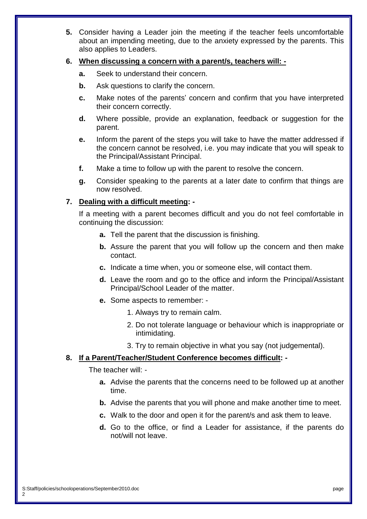**5.** Consider having a Leader join the meeting if the teacher feels uncomfortable about an impending meeting, due to the anxiety expressed by the parents. This also applies to Leaders.

## **6. When discussing a concern with a parent/s, teachers will: -**

- **a.** Seek to understand their concern.
- **b.** Ask questions to clarify the concern.
- **c.** Make notes of the parents' concern and confirm that you have interpreted their concern correctly.
- **d.** Where possible, provide an explanation, feedback or suggestion for the parent.
- **e.** Inform the parent of the steps you will take to have the matter addressed if the concern cannot be resolved, i.e. you may indicate that you will speak to the Principal/Assistant Principal.
- **f.** Make a time to follow up with the parent to resolve the concern.
- **g.** Consider speaking to the parents at a later date to confirm that things are now resolved.

# **7. Dealing with a difficult meeting: -**

If a meeting with a parent becomes difficult and you do not feel comfortable in continuing the discussion:

- **a.** Tell the parent that the discussion is finishing.
- **b.** Assure the parent that you will follow up the concern and then make contact.
- **c.** Indicate a time when, you or someone else, will contact them.
- **d.** Leave the room and go to the office and inform the Principal/Assistant Principal/School Leader of the matter.
- **e.** Some aspects to remember:
	- 1. Always try to remain calm.
	- 2. Do not tolerate language or behaviour which is inappropriate or intimidating.
	- 3. Try to remain objective in what you say (not judgemental).

#### **8. If a Parent/Teacher/Student Conference becomes difficult: -**

The teacher will: -

- **a.** Advise the parents that the concerns need to be followed up at another time.
- **b.** Advise the parents that you will phone and make another time to meet.
- **c.** Walk to the door and open it for the parent/s and ask them to leave.
- **d.** Go to the office, or find a Leader for assistance, if the parents do not/will not leave.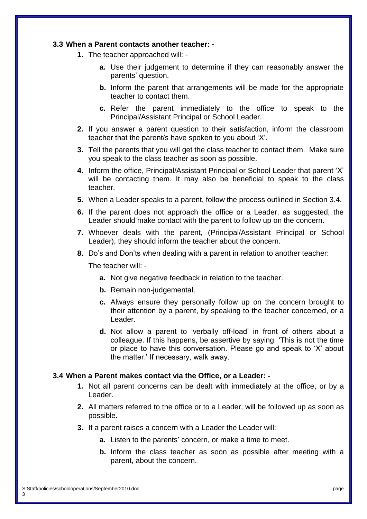#### **3.3 When a Parent contacts another teacher: -**

- **1.** The teacher approached will:
	- **a.** Use their judgement to determine if they can reasonably answer the parents' question.
	- **b.** Inform the parent that arrangements will be made for the appropriate teacher to contact them.
	- **c.** Refer the parent immediately to the office to speak to the Principal/Assistant Principal or School Leader.
- **2.** If you answer a parent question to their satisfaction, inform the classroom teacher that the parent/s have spoken to you about 'X'.
- **3.** Tell the parents that you will get the class teacher to contact them. Make sure you speak to the class teacher as soon as possible.
- **4.** Inform the office, Principal/Assistant Principal or School Leader that parent 'X' will be contacting them. It may also be beneficial to speak to the class teacher.
- **5.** When a Leader speaks to a parent, follow the process outlined in Section 3.4.
- **6.** If the parent does not approach the office or a Leader, as suggested, the Leader should make contact with the parent to follow up on the concern.
- **7.** Whoever deals with the parent, (Principal/Assistant Principal or School Leader), they should inform the teacher about the concern.
- **8.** Do's and Don'ts when dealing with a parent in relation to another teacher:

The teacher will: -

- **a.** Not give negative feedback in relation to the teacher.
- **b.** Remain non-judgemental.
- **c.** Always ensure they personally follow up on the concern brought to their attention by a parent, by speaking to the teacher concerned, or a Leader.
- **d.** Not allow a parent to 'verbally off-load' in front of others about a colleague. If this happens, be assertive by saying, 'This is not the time or place to have this conversation. Please go and speak to 'X' about the matter.' If necessary, walk away.

#### **3.4 When a Parent makes contact via the Office, or a Leader: -**

- **1.** Not all parent concerns can be dealt with immediately at the office, or by a Leader.
- **2.** All matters referred to the office or to a Leader, will be followed up as soon as possible.
- **3.** If a parent raises a concern with a Leader the Leader will:
	- **a.** Listen to the parents' concern, or make a time to meet.
	- **b.** Inform the class teacher as soon as possible after meeting with a parent, about the concern.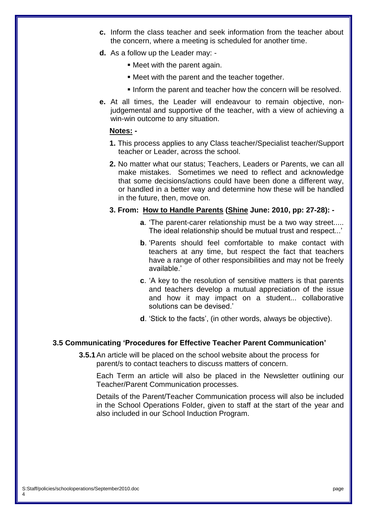- **c.** Inform the class teacher and seek information from the teacher about the concern, where a meeting is scheduled for another time.
- **d.** As a follow up the Leader may:
	- Meet with the parent again.
	- Meet with the parent and the teacher together.
	- Inform the parent and teacher how the concern will be resolved.
- **e.** At all times, the Leader will endeavour to remain objective, nonjudgemental and supportive of the teacher, with a view of achieving a win-win outcome to any situation.

## **Notes: -**

- **1.** This process applies to any Class teacher/Specialist teacher/Support teacher or Leader, across the school.
- **2.** No matter what our status; Teachers, Leaders or Parents, we can all make mistakes. Sometimes we need to reflect and acknowledge that some decisions/actions could have been done a different way, or handled in a better way and determine how these will be handled in the future, then, move on.

#### **3. From: How to Handle Parents (Shine June: 2010, pp: 27-28): -**

- **a**. 'The parent-carer relationship must be a two way street..... The ideal relationship should be mutual trust and respect...'
- **b**. 'Parents should feel comfortable to make contact with teachers at any time, but respect the fact that teachers have a range of other responsibilities and may not be freely available.'
- **c**. 'A key to the resolution of sensitive matters is that parents and teachers develop a mutual appreciation of the issue and how it may impact on a student... collaborative solutions can be devised.'
- **d**. 'Stick to the facts', (in other words, always be objective).

#### **3.5 Communicating 'Procedures for Effective Teacher Parent Communication'**

**3.5.1**An article will be placed on the school website about the process for parent/s to contact teachers to discuss matters of concern.

Each Term an article will also be placed in the Newsletter outlining our Teacher/Parent Communication processes.

Details of the Parent/Teacher Communication process will also be included in the School Operations Folder, given to staff at the start of the year and also included in our School Induction Program.